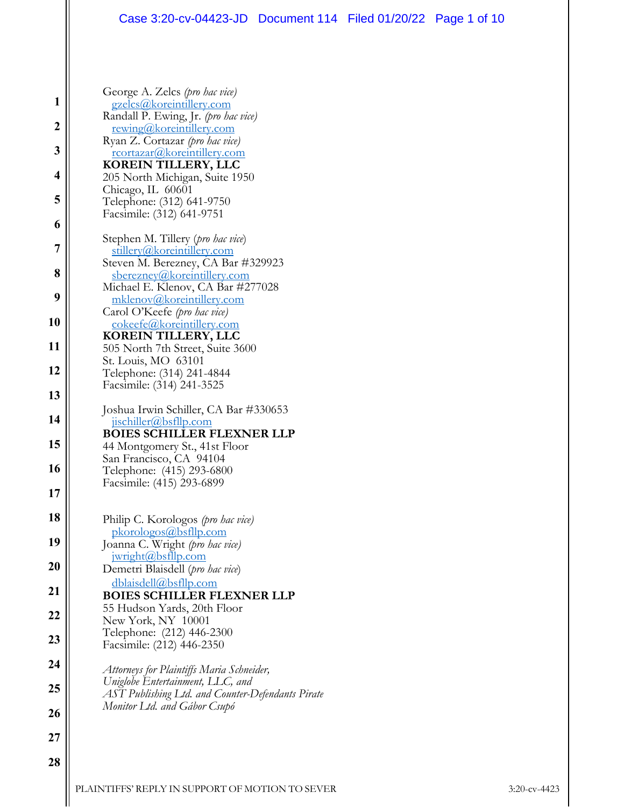#### Case 3:20-cv-04423-JD Document 114 Filed 01/20/22 Page 1 of 10

| 3               |
|-----------------|
| 4               |
| 5               |
| 6               |
| $\overline{7}$  |
| 8               |
| 9               |
| 10              |
| 11              |
| 12              |
| 13              |
| 14              |
| 15              |
| 16              |
| $\overline{17}$ |
| 18              |
| 19              |
| $\overline{20}$ |
| 21              |
|                 |
|                 |
|                 |
| 2               |
| ,<br>f          |
| 7               |
| 28              |

**1**

George A. Zelcs *(pro hac vice)*  gzelcs@koreintillery.com

Randall P. Ewing, Jr. *(pro hac vice)*<br>
<u>rewing@koreintillery.com</u><br>
Ryan Z. Cortazar *(pro hac vice)*<br>
<u>rcortazar@koreintillery.com</u><br> **KOREIN TILLERY, LLC** 

205 North Michigan, Suite 1950

Stephen M. Tillery (*pro hac vice*)<br>
<u>stillery@koreintillery.com</u><br>
Steven M. Berezney, CA Bar #329923

sberezney@koreintillery.com Michael E. Klenov, CA Bar #277028

mklenov@koreintillery.com<br>Carol O'Keefe *(pro hac vice)*<br>cokeefe@koreintillery.com<br>**KOREIN TILLERY, LLC** 

505 North 7th Street, Suite 3600

44 Montgomery St., 41st Floor San Francisco, CA 94104 Telephone: (415) 293-6800 Facsimile: (415) 293-6899

Philip C. Korologos *(pro hac vice)* pkorologos@bsfllp.com Joanna C. Wright *(pro hac vice)*

55 Hudson Yards, 20th Floor

*Monitor Ltd. and Gábor Csupó* 

*Attorneys for Plaintiffs Maria Schneider, Uniglobe Entertainment, LLC, and* 

**BOIES SCHILLER FLEXNER LLP** 

 jwright@bsfllp.com Demetri Blaisdell (*pro hac vice*) dblaisdell@bsfllp.com

New York, NY 10001 Telephone: (212) 446-2300 Facsimile: (212) 446-2350

Joshua Irwin Schiller, CA Bar #330653 jischiller@bsfllp.com **BOIES SCHILLER FLEXNER LLP** 

St. Louis, MO 63101 Telephone: (314) 241-4844 Facsimile: (314) 241-3525

Telephone: (312) 641-9750 Facsimile: (312) 641-9751

Chicago, IL 60601

**2**

| PLAINTIFFS' REPLY IN SUPPORT OF MOTION TO SEVER | $3:20$ -cv-4423 |
|-------------------------------------------------|-----------------|

*AST Publishing Ltd. and Counter-Defendants Pirate*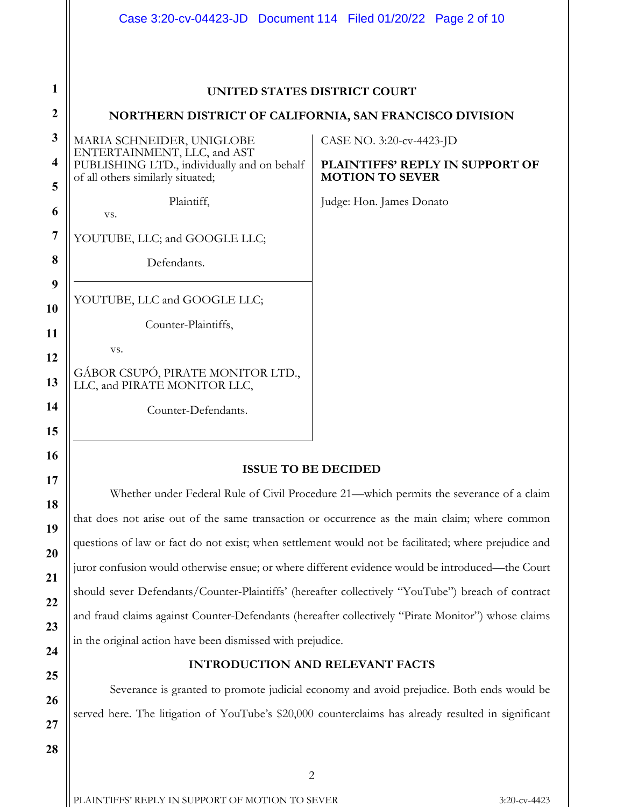|                              |                                                                                                                 | Case 3:20-cv-04423-JD  Document 114  Filed 01/20/22  Page 2 of 10 |  |  |
|------------------------------|-----------------------------------------------------------------------------------------------------------------|-------------------------------------------------------------------|--|--|
|                              |                                                                                                                 |                                                                   |  |  |
| 1                            |                                                                                                                 | UNITED STATES DISTRICT COURT                                      |  |  |
| $\boldsymbol{2}$             | NORTHERN DISTRICT OF CALIFORNIA, SAN FRANCISCO DIVISION                                                         |                                                                   |  |  |
| $\mathbf{3}$                 | MARIA SCHNEIDER, UNIGLOBE                                                                                       | CASE NO. 3:20-cv-4423-JD                                          |  |  |
| $\overline{\mathbf{4}}$<br>5 | ENTERTAINMENT, LLC, and AST<br>PUBLISHING LTD., individually and on behalf<br>of all others similarly situated; | PLAINTIFFS' REPLY IN SUPPORT OF<br><b>MOTION TO SEVER</b>         |  |  |
| 6                            | Plaintiff,<br>VS.                                                                                               | Judge: Hon. James Donato                                          |  |  |
| 7                            | YOUTUBE, LLC; and GOOGLE LLC;                                                                                   |                                                                   |  |  |
| 8                            | Defendants.                                                                                                     |                                                                   |  |  |
| 9                            | YOUTUBE, LLC and GOOGLE LLC;                                                                                    |                                                                   |  |  |
| 10                           | Counter-Plaintiffs,                                                                                             |                                                                   |  |  |
| 11                           | VS.                                                                                                             |                                                                   |  |  |
| 12<br>13                     | GÁBOR CSUPÓ, PIRATE MONITOR LTD.,<br>LLC, and PIRATE MONITOR LLC,                                               |                                                                   |  |  |
| 14<br>15                     | Counter-Defendants.                                                                                             |                                                                   |  |  |
| 16                           |                                                                                                                 |                                                                   |  |  |
| 17                           | <b>ISSUE TO BE DECIDED</b>                                                                                      |                                                                   |  |  |
| 18                           | Whether under Federal Rule of Civil Procedure 21—which permits the severance of a claim                         |                                                                   |  |  |
| 19                           | that does not arise out of the same transaction or occurrence as the main claim; where common                   |                                                                   |  |  |
| 20                           | questions of law or fact do not exist; when settlement would not be facilitated; where prejudice and            |                                                                   |  |  |
| 21                           | juror confusion would otherwise ensue; or where different evidence would be introduced—the Court                |                                                                   |  |  |
| 22                           | should sever Defendants/Counter-Plaintiffs' (hereafter collectively "YouTube") breach of contract               |                                                                   |  |  |
| 23                           | and fraud claims against Counter-Defendants (hereafter collectively "Pirate Monitor") whose claims              |                                                                   |  |  |
| 24                           | in the original action have been dismissed with prejudice.                                                      |                                                                   |  |  |
| 25                           | <b>INTRODUCTION AND RELEVANT FACTS</b>                                                                          |                                                                   |  |  |
| 26                           | Severance is granted to promote judicial economy and avoid prejudice. Both ends would be                        |                                                                   |  |  |
| 27                           | served here. The litigation of YouTube's \$20,000 counterclaims has already resulted in significant             |                                                                   |  |  |
| 28                           |                                                                                                                 |                                                                   |  |  |
|                              |                                                                                                                 |                                                                   |  |  |

2

PLAINTIFFS' REPLY IN SUPPORT OF MOTION TO SEVER 3:20-cv-4423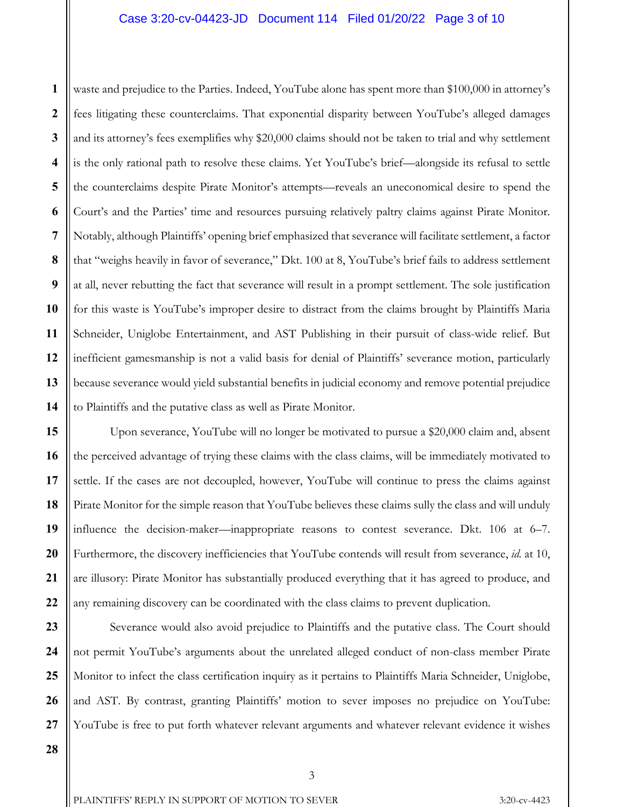## Case 3:20-cv-04423-JD Document 114 Filed 01/20/22 Page 3 of 10

**1 2 3 4 5 6 7 8 9 10 11 12 13 14** waste and prejudice to the Parties. Indeed, YouTube alone has spent more than \$100,000 in attorney's fees litigating these counterclaims. That exponential disparity between YouTube's alleged damages and its attorney's fees exemplifies why \$20,000 claims should not be taken to trial and why settlement is the only rational path to resolve these claims. Yet YouTube's brief—alongside its refusal to settle the counterclaims despite Pirate Monitor's attempts—reveals an uneconomical desire to spend the Court's and the Parties' time and resources pursuing relatively paltry claims against Pirate Monitor. Notably, although Plaintiffs' opening brief emphasized that severance will facilitate settlement, a factor that "weighs heavily in favor of severance," Dkt. 100 at 8, YouTube's brief fails to address settlement at all, never rebutting the fact that severance will result in a prompt settlement. The sole justification for this waste is YouTube's improper desire to distract from the claims brought by Plaintiffs Maria Schneider, Uniglobe Entertainment, and AST Publishing in their pursuit of class-wide relief. But inefficient gamesmanship is not a valid basis for denial of Plaintiffs' severance motion, particularly because severance would yield substantial benefits in judicial economy and remove potential prejudice to Plaintiffs and the putative class as well as Pirate Monitor.

Upon severance, YouTube will no longer be motivated to pursue a \$20,000 claim and, absent the perceived advantage of trying these claims with the class claims, will be immediately motivated to settle. If the cases are not decoupled, however, YouTube will continue to press the claims against Pirate Monitor for the simple reason that YouTube believes these claims sully the class and will unduly influence the decision-maker—inappropriate reasons to contest severance. Dkt. 106 at 6–7. Furthermore, the discovery inefficiencies that YouTube contends will result from severance, *id.* at 10, are illusory: Pirate Monitor has substantially produced everything that it has agreed to produce, and any remaining discovery can be coordinated with the class claims to prevent duplication.

Severance would also avoid prejudice to Plaintiffs and the putative class. The Court should not permit YouTube's arguments about the unrelated alleged conduct of non-class member Pirate Monitor to infect the class certification inquiry as it pertains to Plaintiffs Maria Schneider, Uniglobe, and AST. By contrast, granting Plaintiffs' motion to sever imposes no prejudice on YouTube: YouTube is free to put forth whatever relevant arguments and whatever relevant evidence it wishes

**28**

**15**

**16**

**17**

**18**

**19**

**20**

**21**

**22**

**23**

**24**

**25**

**26**

**27**

PLAINTIFFS' REPLY IN SUPPORT OF MOTION TO SEVER 3:20-cv-4423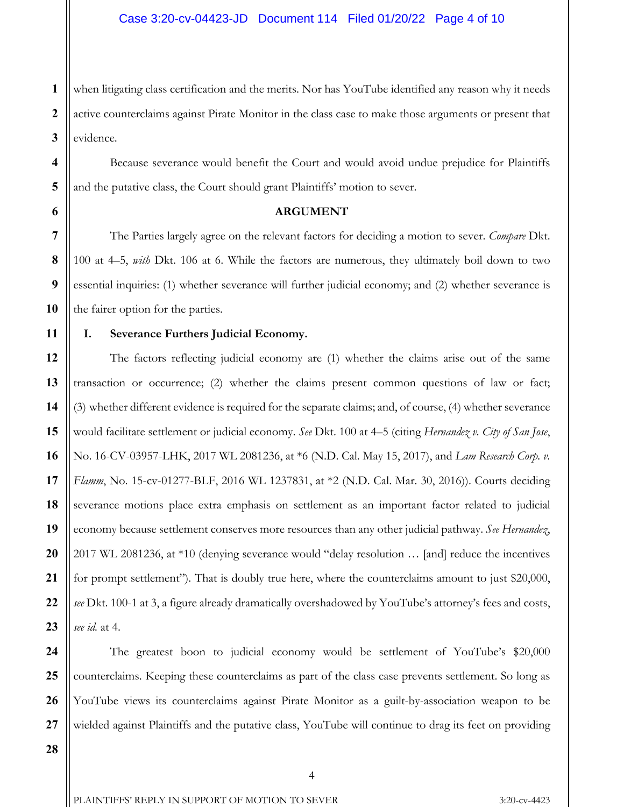**1 2 3** when litigating class certification and the merits. Nor has YouTube identified any reason why it needs active counterclaims against Pirate Monitor in the class case to make those arguments or present that evidence.

Because severance would benefit the Court and would avoid undue prejudice for Plaintiffs and the putative class, the Court should grant Plaintiffs' motion to sever.

**ARGUMENT**

 The Parties largely agree on the relevant factors for deciding a motion to sever. *Compare* Dkt. 100 at 4–5, *with* Dkt. 106 at 6. While the factors are numerous, they ultimately boil down to two essential inquiries: (1) whether severance will further judicial economy; and (2) whether severance is the fairer option for the parties.

**4**

**5**

**6**

**7**

**8**

**9**

**10**

**11**

**12**

**13**

**14**

**15**

**16**

**17**

**18**

**19**

**20**

**21**

**22**

**23**

# **I. Severance Furthers Judicial Economy.**

The factors reflecting judicial economy are (1) whether the claims arise out of the same transaction or occurrence; (2) whether the claims present common questions of law or fact; (3) whether different evidence is required for the separate claims; and, of course, (4) whether severance would facilitate settlement or judicial economy. *See* Dkt. 100 at 4–5 (citing *Hernandez v. City of San Jose*, No. 16-CV-03957-LHK, 2017 WL 2081236, at \*6 (N.D. Cal. May 15, 2017), and *Lam Research Corp. v. Flamm*, No. 15-cv-01277-BLF, 2016 WL 1237831, at \*2 (N.D. Cal. Mar. 30, 2016)). Courts deciding severance motions place extra emphasis on settlement as an important factor related to judicial economy because settlement conserves more resources than any other judicial pathway. *See Hernandez*, 2017 WL 2081236, at \*10 (denying severance would "delay resolution … [and] reduce the incentives for prompt settlement"). That is doubly true here, where the counterclaims amount to just \$20,000, *see* Dkt. 100-1 at 3, a figure already dramatically overshadowed by YouTube's attorney's fees and costs, *see id.* at 4.

**24 25 26 27** The greatest boon to judicial economy would be settlement of YouTube's \$20,000 counterclaims. Keeping these counterclaims as part of the class case prevents settlement. So long as YouTube views its counterclaims against Pirate Monitor as a guilt-by-association weapon to be wielded against Plaintiffs and the putative class, YouTube will continue to drag its feet on providing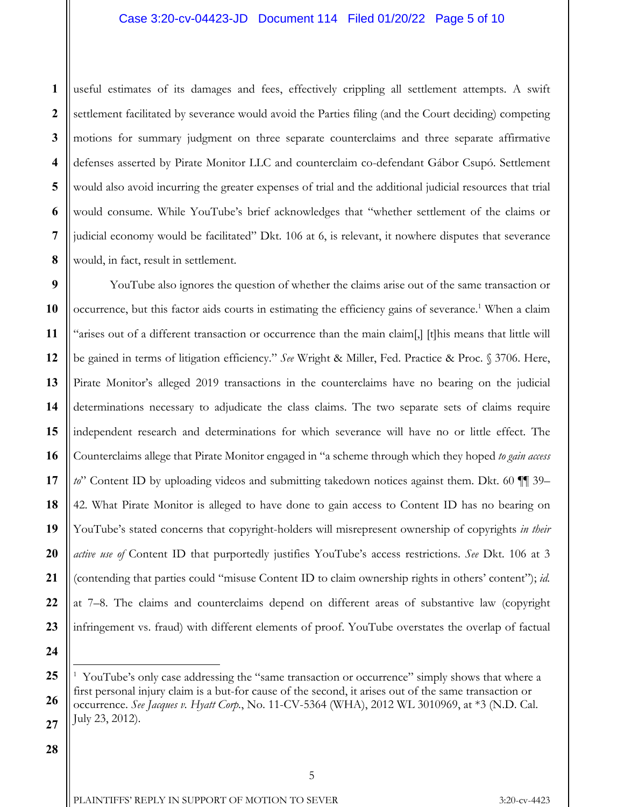# Case 3:20-cv-04423-JD Document 114 Filed 01/20/22 Page 5 of 10

**1 2 3 4 5 6 7 8** useful estimates of its damages and fees, effectively crippling all settlement attempts. A swift settlement facilitated by severance would avoid the Parties filing (and the Court deciding) competing motions for summary judgment on three separate counterclaims and three separate affirmative defenses asserted by Pirate Monitor LLC and counterclaim co-defendant Gábor Csupó. Settlement would also avoid incurring the greater expenses of trial and the additional judicial resources that trial would consume. While YouTube's brief acknowledges that "whether settlement of the claims or judicial economy would be facilitated" Dkt. 106 at 6, is relevant, it nowhere disputes that severance would, in fact, result in settlement.

**9 10 11 12 13 14 15 16 17 18 19 20 21 22 23** YouTube also ignores the question of whether the claims arise out of the same transaction or occurrence, but this factor aids courts in estimating the efficiency gains of severance.<sup>1</sup> When a claim "arises out of a different transaction or occurrence than the main claim[,] [t]his means that little will be gained in terms of litigation efficiency." *See* Wright & Miller, Fed. Practice & Proc. § 3706. Here, Pirate Monitor's alleged 2019 transactions in the counterclaims have no bearing on the judicial determinations necessary to adjudicate the class claims. The two separate sets of claims require independent research and determinations for which severance will have no or little effect. The Counterclaims allege that Pirate Monitor engaged in "a scheme through which they hoped *to gain access to*" Content ID by uploading videos and submitting takedown notices against them. Dkt. 60  $\P$  39– 42. What Pirate Monitor is alleged to have done to gain access to Content ID has no bearing on YouTube's stated concerns that copyright-holders will misrepresent ownership of copyrights *in their active use of* Content ID that purportedly justifies YouTube's access restrictions. *See* Dkt. 106 at 3 (contending that parties could "misuse Content ID to claim ownership rights in others' content"); *id.* at 7–8. The claims and counterclaims depend on different areas of substantive law (copyright infringement vs. fraud) with different elements of proof. YouTube overstates the overlap of factual

**24**

 $\overline{a}$ 

**<sup>25</sup> 26 27** 1 YouTube's only case addressing the "same transaction or occurrence" simply shows that where a first personal injury claim is a but-for cause of the second, it arises out of the same transaction or occurrence. *See Jacques v. Hyatt Corp.*, No. 11-CV-5364 (WHA), 2012 WL 3010969, at \*3 (N.D. Cal. July 23, 2012).

**<sup>28</sup>**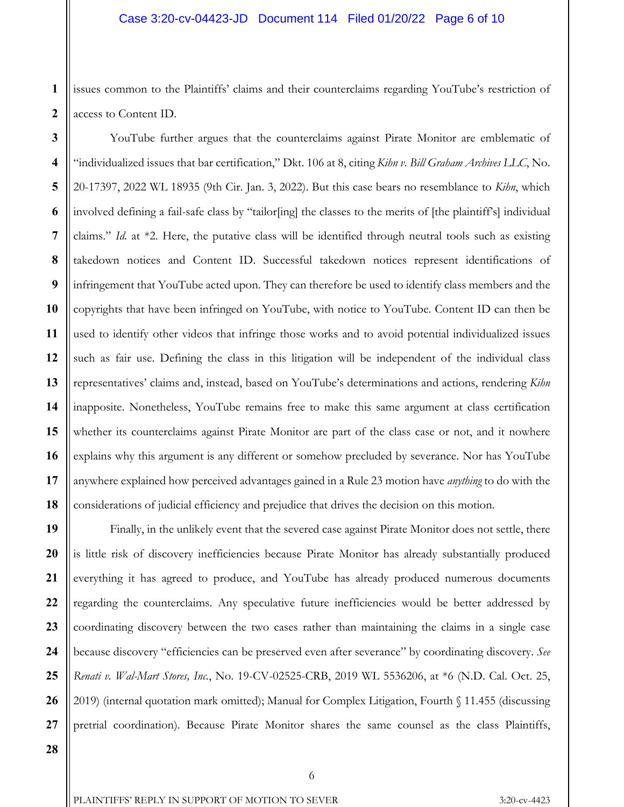**1 2** issues common to the Plaintiffs' claims and their counterclaims regarding YouTube's restriction of access to Content ID.

**3 4 5 6 7 8 10 11 12 13 14 15 16 17 18** YouTube further argues that the counterclaims against Pirate Monitor are emblematic of "individualized issues that bar certification," Dkt. 106 at 8, citing *Kihn v. Bill Graham Archives LLC*, No. 20-17397, 2022 WL 18935 (9th Cir. Jan. 3, 2022). But this case bears no resemblance to *Kihn*, which involved defining a fail-safe class by "tailor[ing] the classes to the merits of [the plaintiff's] individual claims." *Id.* at \*2. Here, the putative class will be identified through neutral tools such as existing takedown notices and Content ID. Successful takedown notices represent identifications of infringement that YouTube acted upon. They can therefore be used to identify class members and the copyrights that have been infringed on YouTube, with notice to YouTube. Content ID can then be used to identify other videos that infringe those works and to avoid potential individualized issues such as fair use. Defining the class in this litigation will be independent of the individual class representatives' claims and, instead, based on YouTube's determinations and actions, rendering *Kihn*  inapposite. Nonetheless, YouTube remains free to make this same argument at class certification whether its counterclaims against Pirate Monitor are part of the class case or not, and it nowhere explains why this argument is any different or somehow precluded by severance. Nor has YouTube anywhere explained how perceived advantages gained in a Rule 23 motion have *anything* to do with the considerations of judicial efficiency and prejudice that drives the decision on this motion.

**19 20 21 22 23 24 25 26 27** Finally, in the unlikely event that the severed case against Pirate Monitor does not settle, there is little risk of discovery inefficiencies because Pirate Monitor has already substantially produced everything it has agreed to produce, and YouTube has already produced numerous documents regarding the counterclaims. Any speculative future inefficiencies would be better addressed by coordinating discovery between the two cases rather than maintaining the claims in a single case because discovery "efficiencies can be preserved even after severance" by coordinating discovery. *See Renati v. Wal-Mart Stores, Inc.*, No. 19-CV-02525-CRB, 2019 WL 5536206, at \*6 (N.D. Cal. Oct. 25, 2019) (internal quotation mark omitted); Manual for Complex Litigation, Fourth § 11.455 (discussing pretrial coordination). Because Pirate Monitor shares the same counsel as the class Plaintiffs,

**9**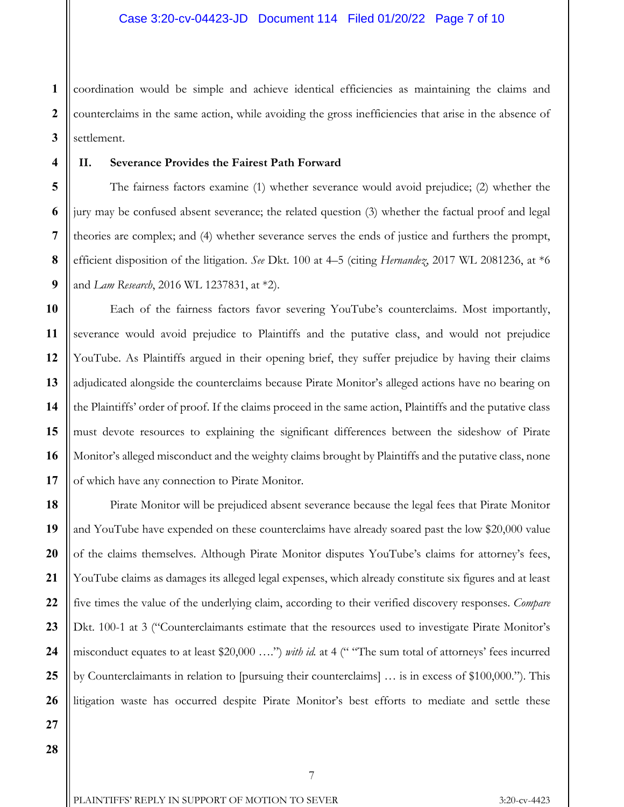**1 2 3** coordination would be simple and achieve identical efficiencies as maintaining the claims and counterclaims in the same action, while avoiding the gross inefficiencies that arise in the absence of settlement.

#### **II. Severance Provides the Fairest Path Forward**

The fairness factors examine (1) whether severance would avoid prejudice; (2) whether the jury may be confused absent severance; the related question (3) whether the factual proof and legal theories are complex; and (4) whether severance serves the ends of justice and furthers the prompt, efficient disposition of the litigation. *See* Dkt. 100 at 4–5 (citing *Hernandez*, 2017 WL 2081236, at \*6 and *Lam Research*, 2016 WL 1237831, at \*2).

Each of the fairness factors favor severing YouTube's counterclaims. Most importantly, severance would avoid prejudice to Plaintiffs and the putative class, and would not prejudice YouTube. As Plaintiffs argued in their opening brief, they suffer prejudice by having their claims adjudicated alongside the counterclaims because Pirate Monitor's alleged actions have no bearing on the Plaintiffs' order of proof. If the claims proceed in the same action, Plaintiffs and the putative class must devote resources to explaining the significant differences between the sideshow of Pirate Monitor's alleged misconduct and the weighty claims brought by Plaintiffs and the putative class, none of which have any connection to Pirate Monitor.

Pirate Monitor will be prejudiced absent severance because the legal fees that Pirate Monitor and YouTube have expended on these counterclaims have already soared past the low \$20,000 value of the claims themselves. Although Pirate Monitor disputes YouTube's claims for attorney's fees, YouTube claims as damages its alleged legal expenses, which already constitute six figures and at least five times the value of the underlying claim, according to their verified discovery responses. *Compare* Dkt. 100-1 at 3 ("Counterclaimants estimate that the resources used to investigate Pirate Monitor's misconduct equates to at least \$20,000 ….") *with id.* at 4 (" "The sum total of attorneys' fees incurred by Counterclaimants in relation to [pursuing their counterclaims] … is in excess of \$100,000."). This litigation waste has occurred despite Pirate Monitor's best efforts to mediate and settle these

**4**

**5**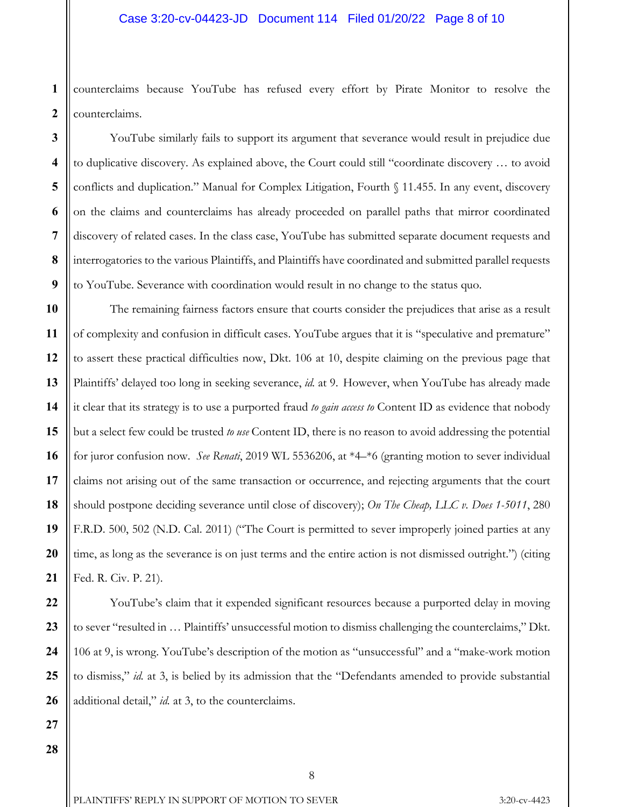## Case 3:20-cv-04423-JD Document 114 Filed 01/20/22 Page 8 of 10

**1 2** counterclaims because YouTube has refused every effort by Pirate Monitor to resolve the counterclaims.

YouTube similarly fails to support its argument that severance would result in prejudice due to duplicative discovery. As explained above, the Court could still "coordinate discovery … to avoid conflicts and duplication." Manual for Complex Litigation, Fourth § 11.455. In any event, discovery on the claims and counterclaims has already proceeded on parallel paths that mirror coordinated discovery of related cases. In the class case, YouTube has submitted separate document requests and interrogatories to the various Plaintiffs, and Plaintiffs have coordinated and submitted parallel requests to YouTube. Severance with coordination would result in no change to the status quo.

The remaining fairness factors ensure that courts consider the prejudices that arise as a result of complexity and confusion in difficult cases. YouTube argues that it is "speculative and premature" to assert these practical difficulties now, Dkt. 106 at 10, despite claiming on the previous page that Plaintiffs' delayed too long in seeking severance, *id.* at 9. However, when YouTube has already made it clear that its strategy is to use a purported fraud *to gain access to* Content ID as evidence that nobody but a select few could be trusted *to use* Content ID, there is no reason to avoid addressing the potential for juror confusion now. *See Renati*, 2019 WL 5536206, at \*4–\*6 (granting motion to sever individual claims not arising out of the same transaction or occurrence, and rejecting arguments that the court should postpone deciding severance until close of discovery); *On The Cheap, LLC v. Does 1-5011*, 280 F.R.D. 500, 502 (N.D. Cal. 2011) ("The Court is permitted to sever improperly joined parties at any time, as long as the severance is on just terms and the entire action is not dismissed outright.") (citing Fed. R. Civ. P. 21).

YouTube's claim that it expended significant resources because a purported delay in moving to sever "resulted in … Plaintiffs' unsuccessful motion to dismiss challenging the counterclaims," Dkt. 106 at 9, is wrong. YouTube's description of the motion as "unsuccessful" and a "make-work motion to dismiss," *id.* at 3, is belied by its admission that the "Defendants amended to provide substantial additional detail," *id.* at 3, to the counterclaims.

**28**

**27**

**3**

**4**

**5**

**6**

**7**

**8**

**9**

**10**

**11**

**12**

**13**

**14**

**15**

**16**

**17**

**18**

**19**

**20**

**21**

**22**

**23**

**24**

**25**

**26**

PLAINTIFFS' REPLY IN SUPPORT OF MOTION TO SEVER 3:20-cv-4423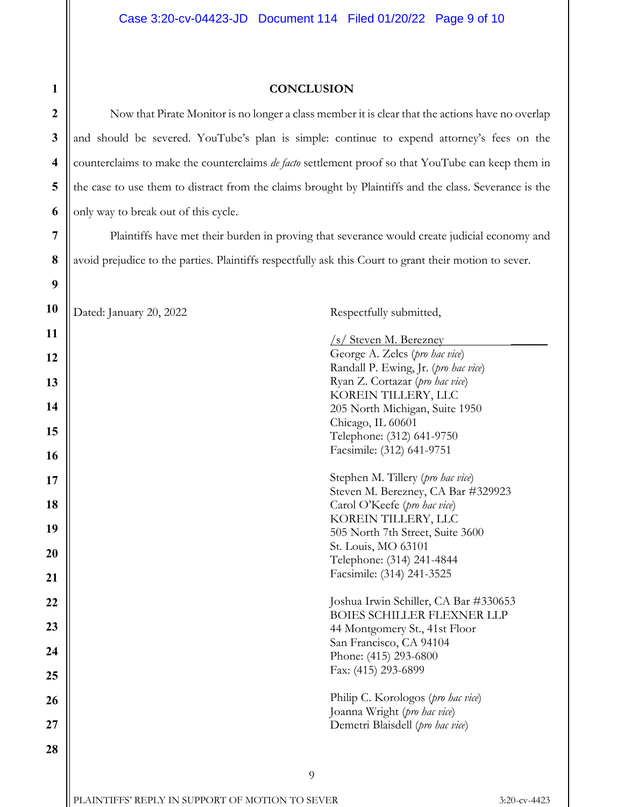| $\mathbf{1}$            | <b>CONCLUSION</b>                                                                                         |                                                                            |              |  |  |
|-------------------------|-----------------------------------------------------------------------------------------------------------|----------------------------------------------------------------------------|--------------|--|--|
| $\boldsymbol{2}$        | Now that Pirate Monitor is no longer a class member it is clear that the actions have no overlap          |                                                                            |              |  |  |
| $\mathbf{3}$            | and should be severed. YouTube's plan is simple: continue to expend attorney's fees on the                |                                                                            |              |  |  |
| $\overline{\mathbf{4}}$ | counterclaims to make the counterclaims <i>de facto</i> settlement proof so that YouTube can keep them in |                                                                            |              |  |  |
| 5                       | the case to use them to distract from the claims brought by Plaintiffs and the class. Severance is the    |                                                                            |              |  |  |
| 6                       | only way to break out of this cycle.                                                                      |                                                                            |              |  |  |
| 7                       | Plaintiffs have met their burden in proving that severance would create judicial economy and              |                                                                            |              |  |  |
| 8                       | avoid prejudice to the parties. Plaintiffs respectfully ask this Court to grant their motion to sever.    |                                                                            |              |  |  |
| 9                       |                                                                                                           |                                                                            |              |  |  |
| <b>10</b>               | Dated: January 20, 2022                                                                                   | Respectfully submitted,                                                    |              |  |  |
| <b>11</b>               |                                                                                                           | /s/ Steven M. Berezney                                                     |              |  |  |
| 12                      |                                                                                                           | George A. Zelcs (pro hac vice)                                             |              |  |  |
| 13                      |                                                                                                           | Randall P. Ewing, Jr. (pro hac vice)<br>Ryan Z. Cortazar (pro hac vice)    |              |  |  |
|                         |                                                                                                           | KOREIN TILLERY, LLC                                                        |              |  |  |
| 14                      |                                                                                                           | 205 North Michigan, Suite 1950                                             |              |  |  |
| 15                      |                                                                                                           | Chicago, IL 60601<br>Telephone: (312) 641-9750                             |              |  |  |
| <b>16</b>               |                                                                                                           | Facsimile: (312) 641-9751                                                  |              |  |  |
| 17                      |                                                                                                           | Stephen M. Tillery (pro hac vice)                                          |              |  |  |
|                         |                                                                                                           | Steven M. Berezney, CA Bar #329923                                         |              |  |  |
| 18                      |                                                                                                           | Carol O'Keefe (pro hac vice)<br>KOREIN TILLERY, LLC                        |              |  |  |
| 19                      |                                                                                                           | 505 North 7th Street, Suite 3600                                           |              |  |  |
| 20                      |                                                                                                           | St. Louis, MO 63101                                                        |              |  |  |
|                         |                                                                                                           | Telephone: (314) 241-4844                                                  |              |  |  |
| 21                      |                                                                                                           | Facsimile: (314) 241-3525                                                  |              |  |  |
| 22                      |                                                                                                           | Joshua Irwin Schiller, CA Bar #330653<br><b>BOIES SCHILLER FLEXNER LLP</b> |              |  |  |
| 23                      |                                                                                                           | 44 Montgomery St., 41st Floor                                              |              |  |  |
|                         |                                                                                                           | San Francisco, CA 94104                                                    |              |  |  |
| 24                      |                                                                                                           | Phone: (415) 293-6800                                                      |              |  |  |
| 25                      |                                                                                                           | Fax: (415) 293-6899                                                        |              |  |  |
| 26                      |                                                                                                           | Philip C. Korologos (pro hac vice)                                         |              |  |  |
| 27                      |                                                                                                           | Joanna Wright (pro hac vice)                                               |              |  |  |
| 28                      |                                                                                                           | Demetri Blaisdell (pro hac vice)                                           |              |  |  |
|                         |                                                                                                           |                                                                            |              |  |  |
|                         | 9                                                                                                         |                                                                            |              |  |  |
|                         | PLAINTIFFS' REPLY IN SUPPORT OF MOTION TO SEVER                                                           |                                                                            | 3:20-cv-4423 |  |  |